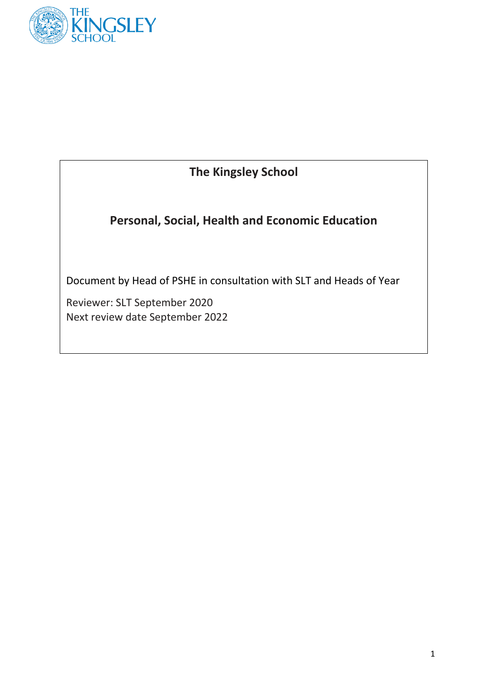

### **The Kingsley School**

**Personal, Social, Health and Economic Education**

Document by Head of PSHE in consultation with SLT and Heads of Year

Reviewer: SLT September 2020 Next review date September 2022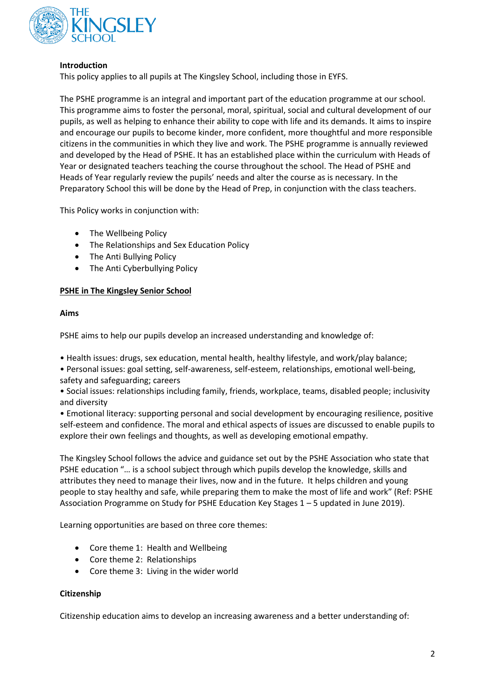

#### **Introduction**

This policy applies to all pupils at The Kingsley School, including those in EYFS.

The PSHE programme is an integral and important part of the education programme at our school. This programme aims to foster the personal, moral, spiritual, social and cultural development of our pupils, as well as helping to enhance their ability to cope with life and its demands. It aims to inspire and encourage our pupils to become kinder, more confident, more thoughtful and more responsible citizens in the communities in which they live and work. The PSHE programme is annually reviewed and developed by the Head of PSHE. It has an established place within the curriculum with Heads of Year or designated teachers teaching the course throughout the school. The Head of PSHE and Heads of Year regularly review the pupils' needs and alter the course as is necessary. In the Preparatory School this will be done by the Head of Prep, in conjunction with the class teachers.

This Policy works in conjunction with:

- The Wellbeing Policy
- The Relationships and Sex Education Policy
- The Anti Bullying Policy
- The Anti Cyberbullying Policy

#### **PSHE in The Kingsley Senior School**

#### **Aims**

PSHE aims to help our pupils develop an increased understanding and knowledge of:

• Health issues: drugs, sex education, mental health, healthy lifestyle, and work/play balance;

• Personal issues: goal setting, self-awareness, self-esteem, relationships, emotional well-being, safety and safeguarding; careers

• Social issues: relationships including family, friends, workplace, teams, disabled people; inclusivity and diversity

• Emotional literacy: supporting personal and social development by encouraging resilience, positive self-esteem and confidence. The moral and ethical aspects of issues are discussed to enable pupils to explore their own feelings and thoughts, as well as developing emotional empathy.

The Kingsley School follows the advice and guidance set out by the PSHE Association who state that PSHE education "… is a school subject through which pupils develop the knowledge, skills and attributes they need to manage their lives, now and in the future. It helps children and young people to stay healthy and safe, while preparing them to make the most of life and work" (Ref: PSHE Association Programme on Study for PSHE Education Key Stages 1 – 5 updated in June 2019).

Learning opportunities are based on three core themes:

- Core theme 1: Health and Wellbeing
- Core theme 2: Relationships
- Core theme 3: Living in the wider world

#### **Citizenship**

Citizenship education aims to develop an increasing awareness and a better understanding of: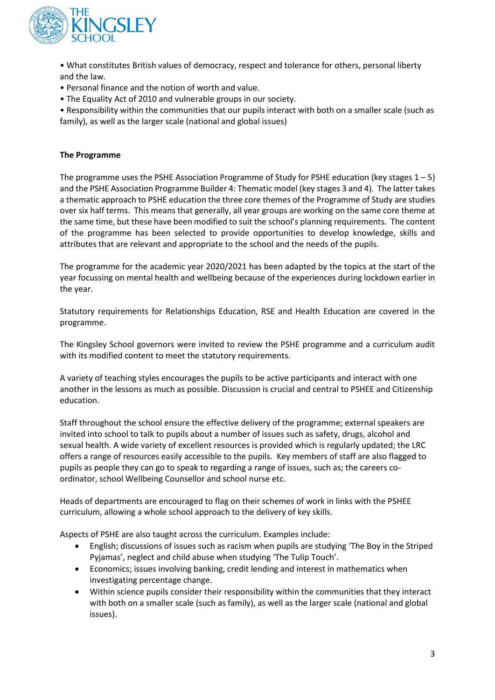

• What constitutes British values of democracy, respect and tolerance for others, personal liberty and the law.

- Personal finance and the notion of worth and value.
- The Equality Act of 2010 and vulnerable groups in our society.

• Responsibility within the communities that our pupils interact with both on a smaller scale (such as family), as well as the larger scale (national and global issues)

#### **The Programme**

The programme uses the PSHE Association Programme of Study for PSHE education (key stages  $1 - 5$ ) and the PSHE Association Programme Builder 4: Thematic model (key stages 3 and 4). The latter takes a thematic approach to PSHE education the three core themes of the Programme of Study are studies over six half terms. This means that generally, all year groups are working on the same core theme at the same time, but these have been modified to suit the school's planning requirements. The content of the programme has been selected to provide opportunities to develop knowledge, skills and attributes that are relevant and appropriate to the school and the needs of the pupils.

The programme for the academic year 2020/2021 has been adapted by the topics at the start of the year focussing on mental health and wellbeing because of the experiences during lockdown earlier in the year.

Statutory requirements for Relationships Education, RSE and Health Education are covered in the programme.

The Kingsley School governors were invited to review the PSHE programme and a curriculum audit with its modified content to meet the statutory requirements.

A variety of teaching styles encourages the pupils to be active participants and interact with one another in the lessons as much as possible. Discussion is crucial and central to PSHEE and Citizenship education.

Staff throughout the school ensure the effective delivery of the programme; external speakers are invited into school to talk to pupils about a number of issues such as safety, drugs, alcohol and sexual health. A wide variety of excellent resources is provided which is regularly updated; the LRC offers a range of resources easily accessible to the pupils. Key members of staff are also flagged to pupils as people they can go to speak to regarding a range of issues, such as; the careers coordinator, school Wellbeing Counsellor and school nurse etc.

Heads of departments are encouraged to flag on their schemes of work in links with the PSHEE curriculum, allowing a whole school approach to the delivery of key skills.

Aspects of PSHE are also taught across the curriculum. Examples include:

- English; discussions of issues such as racism when pupils are studying 'The Boy in the Striped Pyjamas', neglect and child abuse when studying 'The Tulip Touch'.
- Economics; issues involving banking, credit lending and interest in mathematics when investigating percentage change.
- Within science pupils consider their responsibility within the communities that they interact with both on a smaller scale (such as family), as well as the larger scale (national and global issues).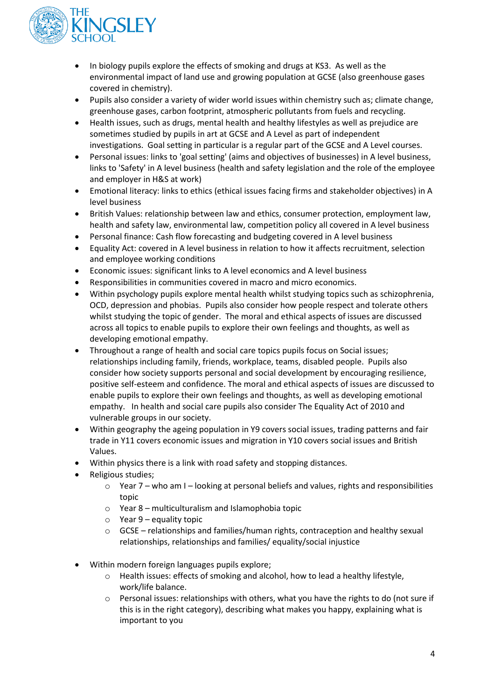

- In biology pupils explore the effects of smoking and drugs at KS3. As well as the environmental impact of land use and growing population at GCSE (also greenhouse gases covered in chemistry).
- Pupils also consider a variety of wider world issues within chemistry such as; climate change, greenhouse gases, carbon footprint, atmospheric pollutants from fuels and recycling.
- Health issues, such as drugs, mental health and healthy lifestyles as well as prejudice are sometimes studied by pupils in art at GCSE and A Level as part of independent investigations. Goal setting in particular is a regular part of the GCSE and A Level courses.
- Personal issues: links to 'goal setting' (aims and objectives of businesses) in A level business, links to 'Safety' in A level business (health and safety legislation and the role of the employee and employer in H&S at work)
- Emotional literacy: links to ethics (ethical issues facing firms and stakeholder objectives) in A level business
- British Values: relationship between law and ethics, consumer protection, employment law, health and safety law, environmental law, competition policy all covered in A level business
- Personal finance: Cash flow forecasting and budgeting covered in A level business
- Equality Act: covered in A level business in relation to how it affects recruitment, selection and employee working conditions
- Economic issues: significant links to A level economics and A level business
- Responsibilities in communities covered in macro and micro economics.
- Within psychology pupils explore mental health whilst studying topics such as schizophrenia, OCD, depression and phobias. Pupils also consider how people respect and tolerate others whilst studying the topic of gender. The moral and ethical aspects of issues are discussed across all topics to enable pupils to explore their own feelings and thoughts, as well as developing emotional empathy.
- Throughout a range of health and social care topics pupils focus on Social issues; relationships including family, friends, workplace, teams, disabled people. Pupils also consider how society supports personal and social development by encouraging resilience, positive self-esteem and confidence. The moral and ethical aspects of issues are discussed to enable pupils to explore their own feelings and thoughts, as well as developing emotional empathy. In health and social care pupils also consider The Equality Act of 2010 and vulnerable groups in our society.
- Within geography the ageing population in Y9 covers social issues, trading patterns and fair trade in Y11 covers economic issues and migration in Y10 covers social issues and British Values.
- Within physics there is a link with road safety and stopping distances.
- Religious studies;
	- $\circ$  Year 7 who am I looking at personal beliefs and values, rights and responsibilities topic
	- o Year 8 multiculturalism and Islamophobia topic
	- $\circ$  Year 9 equality topic
	- $\circ$  GCSE relationships and families/human rights, contraception and healthy sexual relationships, relationships and families/ equality/social injustice
- Within modern foreign languages pupils explore;
	- o Health issues: effects of smoking and alcohol, how to lead a healthy lifestyle, work/life balance.
	- $\circ$  Personal issues: relationships with others, what you have the rights to do (not sure if this is in the right category), describing what makes you happy, explaining what is important to you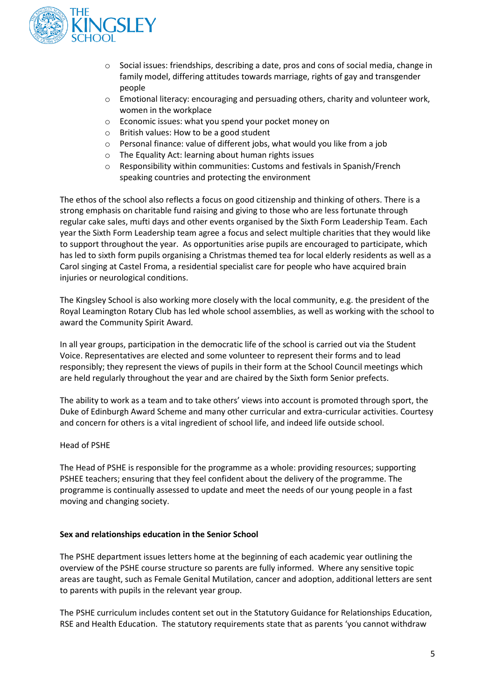

- o Social issues: friendships, describing a date, pros and cons of social media, change in family model, differing attitudes towards marriage, rights of gay and transgender people
- $\circ$  Emotional literacy: encouraging and persuading others, charity and volunteer work, women in the workplace
- o Economic issues: what you spend your pocket money on
- o British values: How to be a good student
- o Personal finance: value of different jobs, what would you like from a job
- o The Equality Act: learning about human rights issues
- o Responsibility within communities: Customs and festivals in Spanish/French speaking countries and protecting the environment

The ethos of the school also reflects a focus on good citizenship and thinking of others. There is a strong emphasis on charitable fund raising and giving to those who are less fortunate through regular cake sales, mufti days and other events organised by the Sixth Form Leadership Team. Each year the Sixth Form Leadership team agree a focus and select multiple charities that they would like to support throughout the year. As opportunities arise pupils are encouraged to participate, which has led to sixth form pupils organising a Christmas themed tea for local elderly residents as well as a Carol singing at Castel Froma, a residential specialist care for people who have acquired brain injuries or neurological conditions.

The Kingsley School is also working more closely with the local community, e.g. the president of the Royal Leamington Rotary Club has led whole school assemblies, as well as working with the school to award the Community Spirit Award.

In all year groups, participation in the democratic life of the school is carried out via the Student Voice. Representatives are elected and some volunteer to represent their forms and to lead responsibly; they represent the views of pupils in their form at the School Council meetings which are held regularly throughout the year and are chaired by the Sixth form Senior prefects.

The ability to work as a team and to take others' views into account is promoted through sport, the Duke of Edinburgh Award Scheme and many other curricular and extra-curricular activities. Courtesy and concern for others is a vital ingredient of school life, and indeed life outside school.

#### Head of PSHE

The Head of PSHE is responsible for the programme as a whole: providing resources; supporting PSHEE teachers; ensuring that they feel confident about the delivery of the programme. The programme is continually assessed to update and meet the needs of our young people in a fast moving and changing society.

#### **Sex and relationships education in the Senior School**

The PSHE department issues letters home at the beginning of each academic year outlining the overview of the PSHE course structure so parents are fully informed. Where any sensitive topic areas are taught, such as Female Genital Mutilation, cancer and adoption, additional letters are sent to parents with pupils in the relevant year group.

The PSHE curriculum includes content set out in the Statutory Guidance for Relationships Education, RSE and Health Education. The statutory requirements state that as parents 'you cannot withdraw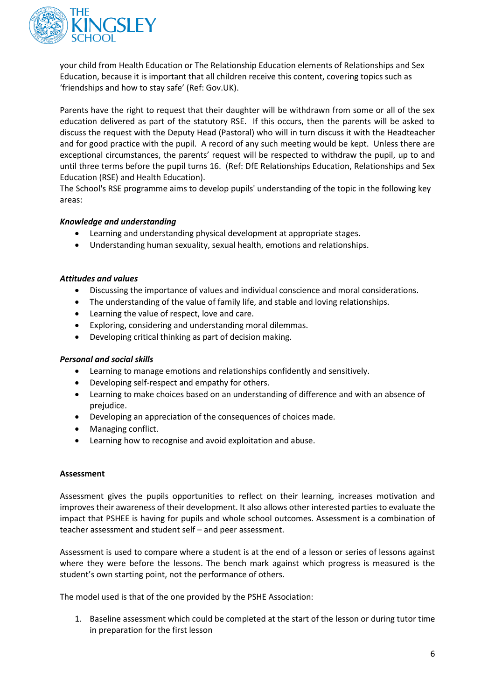

your child from Health Education or The Relationship Education elements of Relationships and Sex Education, because it is important that all children receive this content, covering topics such as 'friendships and how to stay safe' (Ref: Gov.UK).

Parents have the right to request that their daughter will be withdrawn from some or all of the sex education delivered as part of the statutory RSE. If this occurs, then the parents will be asked to discuss the request with the Deputy Head (Pastoral) who will in turn discuss it with the Headteacher and for good practice with the pupil. A record of any such meeting would be kept. Unless there are exceptional circumstances, the parents' request will be respected to withdraw the pupil, up to and until three terms before the pupil turns 16. (Ref: DfE Relationships Education, Relationships and Sex Education (RSE) and Health Education).

The School's RSE programme aims to develop pupils' understanding of the topic in the following key areas:

#### *Knowledge and understanding*

- Learning and understanding physical development at appropriate stages.
- Understanding human sexuality, sexual health, emotions and relationships.

#### *Attitudes and values*

- Discussing the importance of values and individual conscience and moral considerations.
- The understanding of the value of family life, and stable and loving relationships.
- Learning the value of respect, love and care.
- Exploring, considering and understanding moral dilemmas.
- Developing critical thinking as part of decision making.

#### *Personal and social skills*

- Learning to manage emotions and relationships confidently and sensitively.
- Developing self-respect and empathy for others.
- Learning to make choices based on an understanding of difference and with an absence of prejudice.
- Developing an appreciation of the consequences of choices made.
- Managing conflict.
- Learning how to recognise and avoid exploitation and abuse.

#### **Assessment**

Assessment gives the pupils opportunities to reflect on their learning, increases motivation and improves their awareness of their development. It also allows other interested parties to evaluate the impact that PSHEE is having for pupils and whole school outcomes. Assessment is a combination of teacher assessment and student self – and peer assessment.

Assessment is used to compare where a student is at the end of a lesson or series of lessons against where they were before the lessons. The bench mark against which progress is measured is the student's own starting point, not the performance of others.

The model used is that of the one provided by the PSHE Association:

1. Baseline assessment which could be completed at the start of the lesson or during tutor time in preparation for the first lesson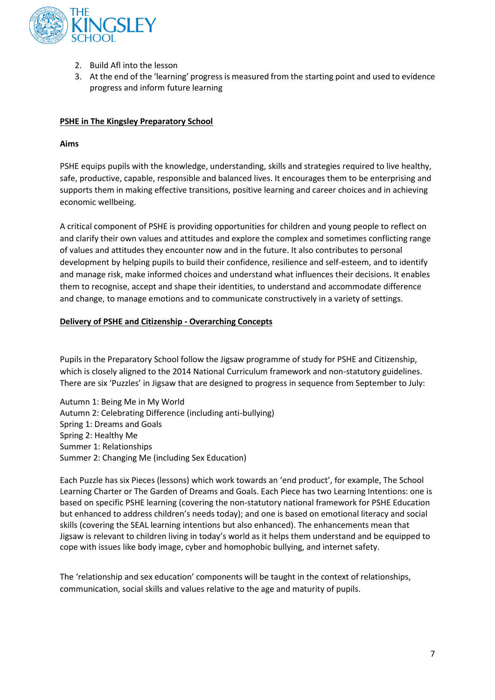

- 2. Build Afl into the lesson
- 3. At the end of the 'learning' progress is measured from the starting point and used to evidence progress and inform future learning

#### **PSHE in The Kingsley Preparatory School**

#### **Aims**

PSHE equips pupils with the knowledge, understanding, skills and strategies required to live healthy, safe, productive, capable, responsible and balanced lives. It encourages them to be enterprising and supports them in making effective transitions, positive learning and career choices and in achieving economic wellbeing.

A critical component of PSHE is providing opportunities for children and young people to reflect on and clarify their own values and attitudes and explore the complex and sometimes conflicting range of values and attitudes they encounter now and in the future. It also contributes to personal development by helping pupils to build their confidence, resilience and self-esteem, and to identify and manage risk, make informed choices and understand what influences their decisions. It enables them to recognise, accept and shape their identities, to understand and accommodate difference and change, to manage emotions and to communicate constructively in a variety of settings.

#### **Delivery of PSHE and Citizenship - Overarching Concepts**

Pupils in the Preparatory School follow the Jigsaw programme of study for PSHE and Citizenship, which is closely aligned to the 2014 National Curriculum framework and non-statutory guidelines. There are six 'Puzzles' in Jigsaw that are designed to progress in sequence from September to July:

Autumn 1: Being Me in My World Autumn 2: Celebrating Difference (including anti-bullying) Spring 1: Dreams and Goals Spring 2: Healthy Me Summer 1: Relationships Summer 2: Changing Me (including Sex Education)

Each Puzzle has six Pieces (lessons) which work towards an 'end product', for example, The School Learning Charter or The Garden of Dreams and Goals. Each Piece has two Learning Intentions: one is based on specific PSHE learning (covering the non-statutory national framework for PSHE Education but enhanced to address children's needs today); and one is based on emotional literacy and social skills (covering the SEAL learning intentions but also enhanced). The enhancements mean that Jigsaw is relevant to children living in today's world as it helps them understand and be equipped to cope with issues like body image, cyber and homophobic bullying, and internet safety.

The 'relationship and sex education' components will be taught in the context of relationships, communication, social skills and values relative to the age and maturity of pupils.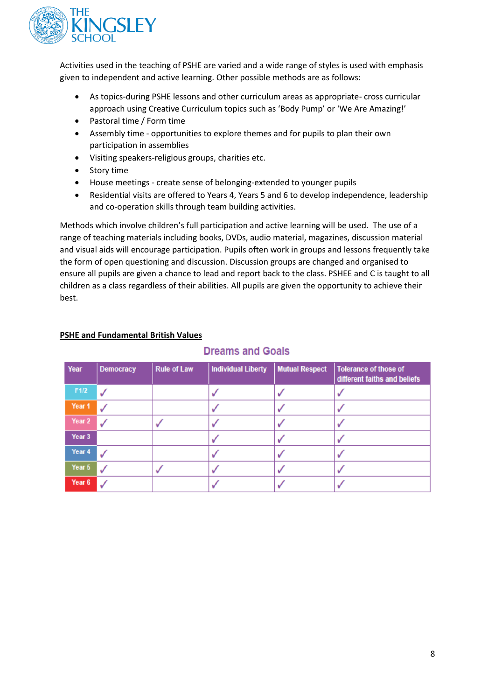

Activities used in the teaching of PSHE are varied and a wide range of styles is used with emphasis given to independent and active learning. Other possible methods are as follows:

- As topics-during PSHE lessons and other curriculum areas as appropriate- cross curricular approach using Creative Curriculum topics such as 'Body Pump' or 'We Are Amazing!'
- Pastoral time / Form time
- Assembly time opportunities to explore themes and for pupils to plan their own participation in assemblies
- Visiting speakers-religious groups, charities etc.
- Story time
- House meetings create sense of belonging-extended to younger pupils
- Residential visits are offered to Years 4, Years 5 and 6 to develop independence, leadership and co-operation skills through team building activities.

Methods which involve children's full participation and active learning will be used. The use of a range of teaching materials including books, DVDs, audio material, magazines, discussion material and visual aids will encourage participation. Pupils often work in groups and lessons frequently take the form of open questioning and discussion. Discussion groups are changed and organised to ensure all pupils are given a chance to lead and report back to the class. PSHEE and C is taught to all children as a class regardless of their abilities. All pupils are given the opportunity to achieve their best.

#### **PSHE and Fundamental British Values**

| Year   | <b>Democracy</b> | <b>Rule of Law</b> | <b>Individual Liberty</b> | <b>Mutual Respect</b> | <b>Tolerance of those of</b><br>different faiths and beliefs |
|--------|------------------|--------------------|---------------------------|-----------------------|--------------------------------------------------------------|
| F1/2   |                  |                    |                           |                       |                                                              |
| Year 1 |                  |                    |                           |                       |                                                              |
| Year 2 |                  |                    |                           |                       |                                                              |
| Year 3 |                  |                    |                           |                       |                                                              |
| Year 4 |                  |                    |                           |                       |                                                              |
| Year 5 |                  |                    |                           |                       |                                                              |
| Year 6 |                  |                    |                           |                       |                                                              |

### **Dreams and Goals**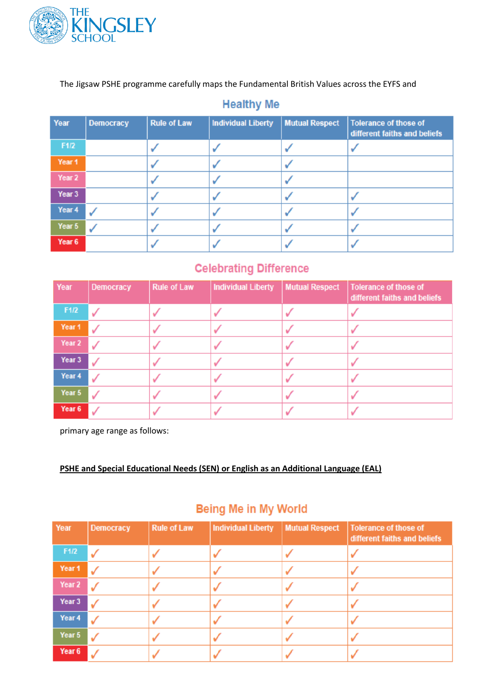

The Jigsaw PSHE programme carefully maps the Fundamental British Values across the EYFS and

### **Healthy Me**

| Year   | <b>Democracy</b> | <b>Rule of Law</b> | <b>Individual Liberty</b> | <b>Mutual Respect</b> | <b>Tolerance of those of</b><br>different faiths and beliefs |
|--------|------------------|--------------------|---------------------------|-----------------------|--------------------------------------------------------------|
| F1/2   |                  |                    |                           |                       |                                                              |
| Year 1 |                  |                    |                           |                       |                                                              |
| Year 2 |                  |                    |                           |                       |                                                              |
| Year 3 |                  |                    |                           |                       |                                                              |
| Year 4 |                  |                    |                           |                       |                                                              |
| Year 5 |                  |                    |                           |                       |                                                              |
| Year 6 |                  |                    |                           |                       |                                                              |

# **Celebrating Difference**

| Year   | <b>Democracy</b> | <b>Rule of Law</b> | Individual Liberty | <b>Mutual Respect</b> | Tolerance of those of<br>different faiths and beliefs |
|--------|------------------|--------------------|--------------------|-----------------------|-------------------------------------------------------|
| F1/2   |                  |                    |                    |                       |                                                       |
| Year 1 |                  |                    |                    |                       |                                                       |
| Year 2 |                  |                    |                    |                       |                                                       |
| Year 3 |                  |                    |                    |                       |                                                       |
| Year 4 |                  |                    |                    |                       |                                                       |
| Year 5 |                  |                    |                    |                       |                                                       |
| Year 6 |                  |                    |                    |                       |                                                       |

primary age range as follows:

**PSHE and Special Educational Needs (SEN) or English as an Additional Language (EAL)**

## Being Me in My World

| Year   | <b>Democracy</b> | <b>Rule of Law</b> | <b>Individual Liberty</b> | <b>Mutual Respect</b> | Tolerance of those of<br>different faiths and beliefs |
|--------|------------------|--------------------|---------------------------|-----------------------|-------------------------------------------------------|
| F1/2   |                  |                    |                           |                       |                                                       |
| Year 1 |                  |                    |                           |                       |                                                       |
| Year 2 |                  |                    |                           |                       |                                                       |
| Year 3 |                  |                    |                           |                       |                                                       |
| Year 4 |                  |                    |                           |                       |                                                       |
| Year 5 |                  |                    |                           |                       |                                                       |
| Year 6 |                  |                    |                           |                       |                                                       |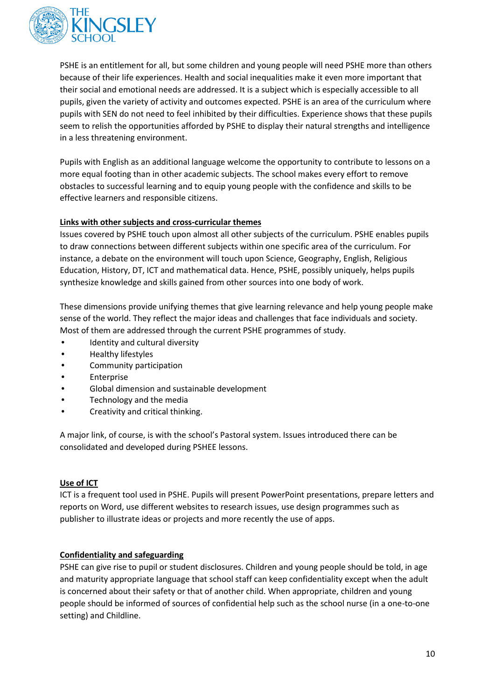

PSHE is an entitlement for all, but some children and young people will need PSHE more than others because of their life experiences. Health and social inequalities make it even more important that their social and emotional needs are addressed. It is a subject which is especially accessible to all pupils, given the variety of activity and outcomes expected. PSHE is an area of the curriculum where pupils with SEN do not need to feel inhibited by their difficulties. Experience shows that these pupils seem to relish the opportunities afforded by PSHE to display their natural strengths and intelligence in a less threatening environment.

Pupils with English as an additional language welcome the opportunity to contribute to lessons on a more equal footing than in other academic subjects. The school makes every effort to remove obstacles to successful learning and to equip young people with the confidence and skills to be effective learners and responsible citizens.

#### **Links with other subjects and cross-curricular themes**

Issues covered by PSHE touch upon almost all other subjects of the curriculum. PSHE enables pupils to draw connections between different subjects within one specific area of the curriculum. For instance, a debate on the environment will touch upon Science, Geography, English, Religious Education, History, DT, ICT and mathematical data. Hence, PSHE, possibly uniquely, helps pupils synthesize knowledge and skills gained from other sources into one body of work.

These dimensions provide unifying themes that give learning relevance and help young people make sense of the world. They reflect the major ideas and challenges that face individuals and society. Most of them are addressed through the current PSHE programmes of study.

- Identity and cultural diversity
- Healthy lifestyles
- Community participation
- **Enterprise**
- Global dimension and sustainable development
- Technology and the media
- Creativity and critical thinking.

A major link, of course, is with the school's Pastoral system. Issues introduced there can be consolidated and developed during PSHEE lessons.

#### **Use of ICT**

ICT is a frequent tool used in PSHE. Pupils will present PowerPoint presentations, prepare letters and reports on Word, use different websites to research issues, use design programmes such as publisher to illustrate ideas or projects and more recently the use of apps.

#### **Confidentiality and safeguarding**

PSHE can give rise to pupil or student disclosures. Children and young people should be told, in age and maturity appropriate language that school staff can keep confidentiality except when the adult is concerned about their safety or that of another child. When appropriate, children and young people should be informed of sources of confidential help such as the school nurse (in a one-to-one setting) and Childline.